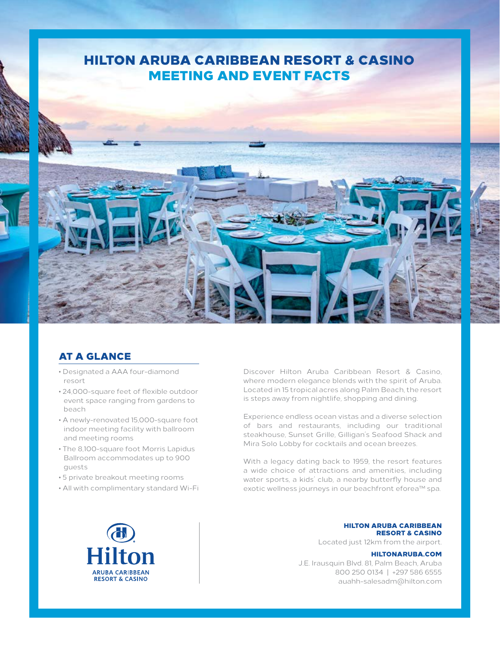## HILTON ARUBA CARIBBEAN RESORT & CASINO MEETING AND EVENT FACTS



## AT A GLANCE

- Designated a AAA four-diamond resort
- 24,000-square feet of flexible outdoor event space ranging from gardens to beach
- A newly-renovated 15,000-square foot indoor meeting facility with ballroom and meeting rooms
- The 8,100-square foot Morris Lapidus Ballroom accommodates up to 900 guests
- 5 private breakout meeting rooms
- All with complimentary standard Wi-Fi

Discover Hilton Aruba Caribbean Resort & Casino, where modern elegance blends with the spirit of Aruba. Located in 15 tropical acres along Palm Beach, the resort is steps away from nightlife, shopping and dining.

Experience endless ocean vistas and a diverse selection of bars and restaurants, including our traditional steakhouse, Sunset Grille, Gilligan's Seafood Shack and Mira Solo Lobby for cocktails and ocean breezes.

With a legacy dating back to 1959, the resort features a wide choice of attractions and amenities, including water sports, a kids' club, a nearby butterfly house and exotic wellness journeys in our beachfront eforea™ spa.



HILTON ARUBA CARIBBEAN RESORT & CASINO

Located just 12km from the airport.

HILTONARUBA.COM J.E. Irausquin Blvd. 81, Palm Beach, Aruba 800 250 0134 | +297 586 6555 auahh-salesadm@hilton.com